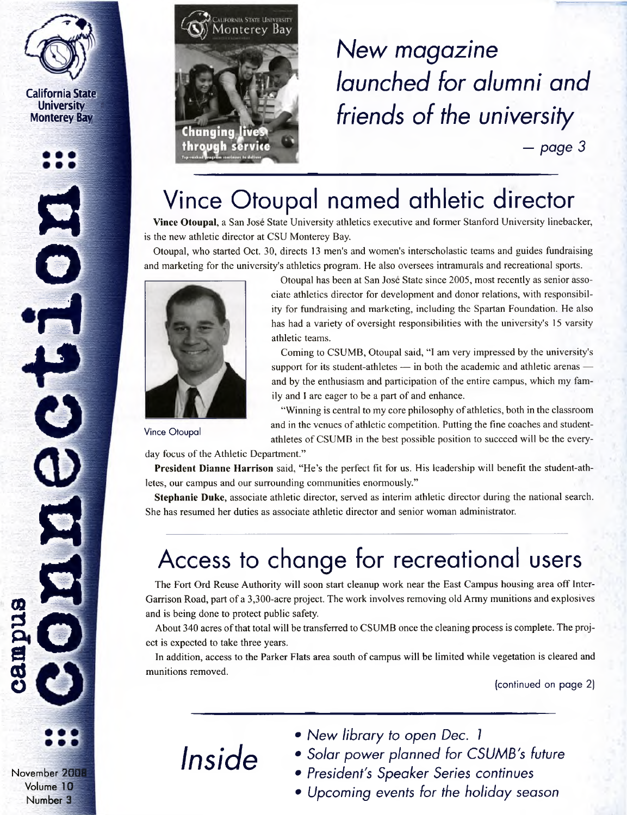

**California State University i Monterey Bay <sup>~</sup>**







# *New magazine launched for alumni and friends of the university*

*— page 3*

# Vince Otoupal named athletic director

**Vince Otoupal,** a San Jose State University athletics executive and former Stanford University linebacker, is the new athletic director at CSU Monterey Bay.

Otoupal, who started Oct. 30, directs 13 men's and women's interscholastic teams and guides fundraising and marketing for the university's athletics program. He also oversees intramurals and recreational sports.



Otoupal has been at San Jose State since 2005, most recently as senior associate athletics director for development and donor relations, with responsibility for fundraising and marketing, including the Spartan Foundation. He also has had a variety of oversight responsibilities with the university's 15 varsity athletic teams.

Coming to CSUMB, Otoupal said, "I am very impressed by the university's support for its student-athletes — in both the academic and athletic arenas and by the enthusiasm and participation of the entire campus, which my family and <sup>I</sup> are eager to be a part of and enhance.

"Winning is central to my core philosophy of athletics, both in the classroom and in the venues of athletic competition. Putting the fine coaches and studentathletes of CSUMB in the best possible position to succeed will be the every-

Vince Otoupal

day focus of the Athletic Department."

**President Dianne Harrison** said, "He's the perfect fit for us. His leadership will benefit the student-athletes, our campus and our surrounding communities enormously."

**Stephanie Duke,** associate athletic director, served as interim athletic director during the national search. She has resumed her duties as associate athletic director and senior woman administrator.

# Access to change for recreational users

The Fort Ord Reuse Authority will soon start cleanup work near the East Campus housing area off Inter-Garrison Road, part of a 3,300-acre project. The work involves removing old Army munitions and explosives and is being done to protect public safety.

About 340 acres ofthat total will be transferred to CSUMB once the cleaning process is complete. The project is expected to take three years.

In addition, access to the Parker Flats area south of campus will be limited while vegetation is cleared and munitions removed.

(continued on page 2)

- *Inside*
- *• New library to open Dec. <sup>1</sup>*
- *• Solar power planned for CSUMB's future*
- *• President's Speaker Series continues*
- *• Upcoming events for the holiday season*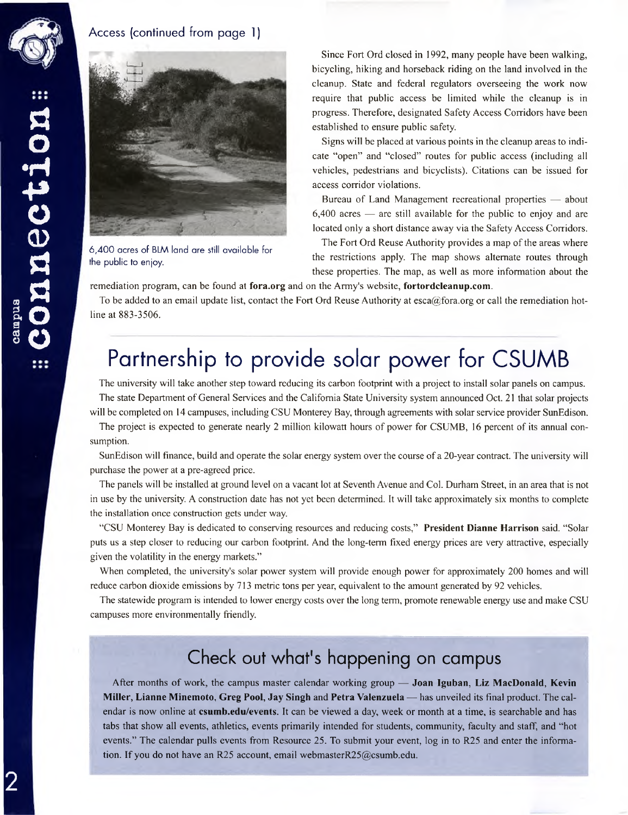

#### Access (continued from page 1)



6,400 acres of BLM land are still available for the public to enjoy.

Since Fort Ord closed in 1992, many people have been walking, bicycling, hiking and horseback riding on the land involved in the cleanup. State and federal regulators overseeing the work now require that public access be limited while the cleanup is in progress. Therefore, designated Safety Access Corridors have been established to ensure public safety.

Signs will be placed at various points in the cleanup areas to indicate "open" and "closed" routes for public access (including all vehicles, pedestrians and bicyclists). Citations can be issued for access corridor violations.

Bureau of Land Management recreational properties — about 6,400 acres — are still available for the public to enjoy and are located only a short distance away via the Safety Access Corridors.

The Fort Ord Reuse Authority provides a map of the areas where the restrictions apply. The map shows alternate routes through these properties. The map, as well as more information about the

remediation program, can be found at **<fora.org>** and on the Army's website, **<fortordcleanup.com>.**

To be added to an email update list, contact the Fort Ord Reuse Authority at  $\csc(a)$  fora.org or call the remediation hotline at 883-3506.

### Partnership to provide solar power for CSUMB

The university will take another step toward reducing its carbon footprint with a project to install solar panels on campus. The state Department of General Services and the California State University system announced Oct. 21 that solar projects will be completed on 14 campuses, including CSU Monterey Bay, through agreements with solar service provider SunEdison.

The project is expected to generate nearly 2 million kilowatt hours of power for CSUMB, 16 percent of its annual consumption.

SunEdison will finance, build and operate the solar energy system over the course of a 20-year contract. The university will purchase the power at a pre-agreed price.

The panels will be installed at ground level on a vacant lot at Seventh Avenue and Col. Durham Street, in an area that is not in use by the university. A construction date has not yet been determined. It will take approximately six months to complete the installation once construction gets under way.

"CSU Monterey Bay is dedicated to conserving resources and reducing costs," **President Dianne Harrison** said. "Solar puts us a step closer to reducing our carbon footprint. And the long-term fixed energy prices are very attractive, especially given the volatility in the energy markets."

When completed, the university's solar power system will provide enough power for approximately 200 homes and will reduce carbon dioxide emissions by 713 metric tons per year, equivalent to the amount generated by 92 vehicles.

The statewide program is intended to lower energy costs over the long term, promote renewable energy use and make CSU campuses more environmentally friendly.

### Check out what's happening on campus

After months of work, the campus master calendar working group — **Joan Iguban, Liz MacDonald, Kevin Miller, Lianne Minemoto, Greg Pool, Jay Singh** and **Petra Valenzuela —** has unveiled its final product. The calendar is now online at **<csumb.edu/events>.** It can be viewed a day, week or month at a time, is searchable and has tabs that show all events, athletics, events primarily intended for students, community, faculty and staff, and "hot events." The calendar pulls events from Resource 25. To submit your event, log in to R25 and enter the information. If you do not have an R25 account, email [webmasterR25@csumb.edu](mailto:webmasterR25%40csumb.edu).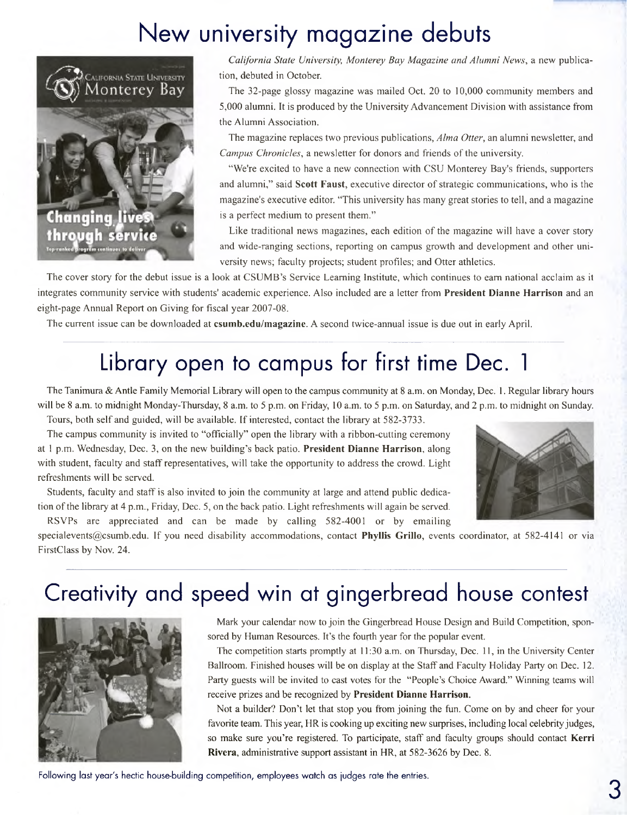# New university magazine debuts



*California State University, Monterey Bay Magazine and Alumni News,* a new publication, debuted in October.

The 32-page glossy magazine was mailed Oct. 20 to 10,000 community members and 5,000 alumni. It is produced by the University Advancement Division with assistance from the Alumni Association.

The magazine replaces two previous publications, *Alma Otter,* an alumni newsletter, and *Campus Chronicles*, a newsletter for donors and friends of the university.

"We're excited to have a new connection with CSU Monterey Bay's friends, supporters and alumni," said **Scott Faust**, executive director of strategic communications, who is the magazine's executive editor. "This university has many great stories to tell, and a magazine is a perfect medium to present them."

Like traditional news magazines, each edition of the magazine will have a cover story and wide-ranging sections, reporting on campus growth and development and other university news; faculty projects; student profiles; and Otter athletics.

The cover story for the debut issue is a look at CSUMB's Service Learning Institute, which continues to earn national acclaim as it integrates community service with students' academic experience. Also included are a letter from **President Dianne Harrison** and an eight-page Annual Report on Giving for fiscal year 2007-08.

The current issue can be downloaded at **<csumb.edu/magazine>.** A second twice-annual issue is due out in early April.

# Library open to campus for first time Dec. <sup>1</sup>

The Tanimura & Antle Family Memorial Library will open to the campus community at 8 a.m. on Monday, Dec. 1. Regular library hours will be 8 a.m. to midnight Monday-Thursday, 8 a.m. to 5 p.m. on Friday, 10 a.m. to 5 p.m. on Saturday, and 2 p.m. to midnight on Sunday. Tours, both self and guided, will be available. If interested, contact the library at 582-3733.

The campus community is invited to "officially" open the library with a ribbon-cutting ceremony at <sup>1</sup> p.m. Wednesday, Dec. 3, on the new building's back patio. **President Dianne Harrison,** along with student, faculty and staff representatives, will take the opportunity to address the crowd. Light refreshments will be served.

Students, faculty and staff is also invited to join the community at large and attend public dedication ofthe library at 4 p.m., Friday, Dec. 5, on the back patio. Light refreshments will again be served. RSVPs are appreciated and can be made by calling 582-4001 or by emailing



[specialevents@csumb.edu](mailto:specialevents%40csumb.edu). If you need disability accommodations, contact **Phyllis Grillo,** events coordinator, at 582-4141 or via FirstClass by Nov. 24.

# Creativity and speed win at gingerbread house contest



Mark your calendar now to join the Gingerbread House Design and Build Competition, sponsored by Human Resources. It's the fourth year for the popular event.

The competition starts promptly at 11:30 a.m. on Thursday, Dec. 11, in the University Center Ballroom. Finished houses will be on display at the Staff and Faculty Holiday Party on Dec. 12. Party guests will be invited to cast votes for the "People's Choice Award." Winning teams will receive prizes and be recognized by **President Dianne Harrison.**

Not a builder? Don't let that stop you from joining the fun. Come on by and cheer for your favorite team. This year, HR is cooking up exciting new surprises, including local celebrity judges, so make sure you're registered. To participate, staff and faculty groups should contact **Kerri Rivera,** administrative support assistant in HR, at 582-3626 by Dec. 8.

Following last year's hectic house-building competition, employees watch as judges rate the entries.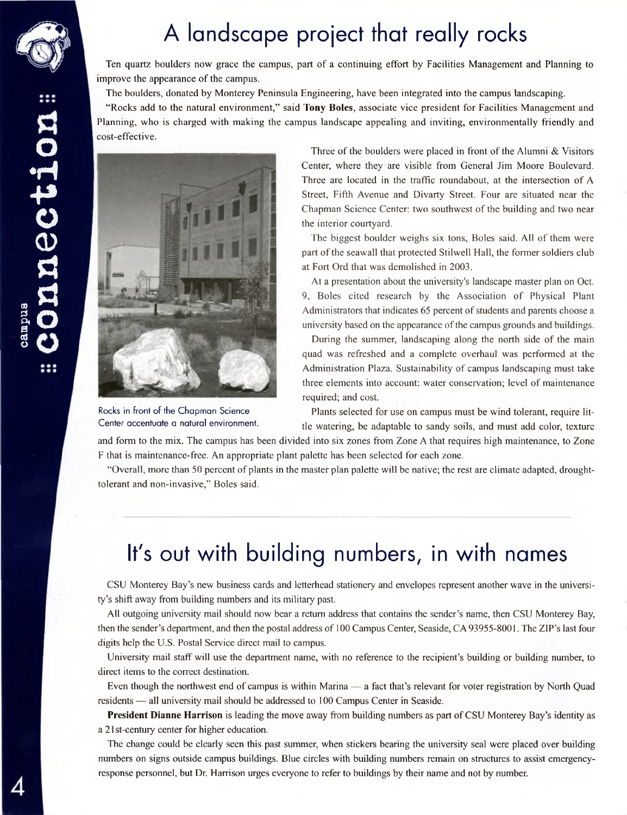

### A landscape project that really rocks

Ten quartz boulders now grace the campus, part of a continuing effort by Facilities Management and Planning to improve the appearance of the campus.

The boulders, donated by Monterey Peninsula Engineering, have been integrated into the campus landscaping.

"Rocks add to the natural environment," said **Tony Boles,** associate vice president for Facilities Management and Planning, who is charged with making the campus landscape appealing and inviting, environmentally friendly and cost-effective.



Rocks in front of the Chapman Science Center accentuate a natural environment.

Three of the boulders were placed in front of the Alumni & Visitors Center, where they are visible from General Jim Moore Boulevard. Three are located in the traffic roundabout, at the intersection of A Street, Fifth Avenue and Divarty Street. Four are situated near the Chapman Science Center: two southwest of the building and two near the interior courtyard.

The biggest boulder weighs six tons, Boles said. All of them were part of the seawall that protected Stilwell Hall, the former soldiers club at Fort Ord that was demolished in 2003.

At a presentation about the university's landscape master plan on Oct. 9, Boles cited research by the Association of Physical Plant Administrators that indicates 65 percent of students and parents choose a university based on the appearance of the campus grounds and buildings.

During the summer, landscaping along the north side of the main quad was refreshed and a complete overhaul was performed at the Administration Plaza. Sustainability of campus landscaping must take three elements into account: water conservation; level of maintenance required; and cost.

Plants selected for use on campus must be wind tolerant, require little watering, be adaptable to sandy soils, and must add color, texture

and form to the mix. The campus has been divided into six zones from Zone A that requires high maintenance, to Zone F that is maintenance-free. An appropriate plant palette has been selected for each zone.

"Overall, more than 50 percent of plants in the master plan palette will be native; the rest are climate adapted, droughttolerant and non-invasive," Boles said.

# It's out with building numbers, in with names

CSU Monterey Bay's new business cards and letterhead stationery and envelopes represent another wave in the university's shift away from building numbers and its military past.

All outgoing university mail should now bear a return address that contains the sender's name, then CSU Monterey Bay, then the sender's department, and then the postal address of 100 Campus Center, Seaside, CA 93955-8001. The ZIP's last four digits help the U.S. Postal Service direct mail to campus.

University mail staff will use the department name, with no reference to the recipient's building or building number, to direct items to the correct destination.

Even though the northwest end of campus is within Marina — a fact that's relevant for voter registration by North Quad residents — all university mail should be addressed to 100 Campus Center in Seaside.

**President Dianne Harrison** is leading the move away from building numbers as part ofCSU Monterey Bay's identity as a 21 st-century center for higher education.

The change could be clearly seen this past summer, when stickers bearing the university seal were placed over building numbers on signs outside campus buildings. Blue circles with building numbers remain on structures to assist emergencyresponse personnel, but Dr. Harrison urges everyone to refer to buildings by their name and not by number.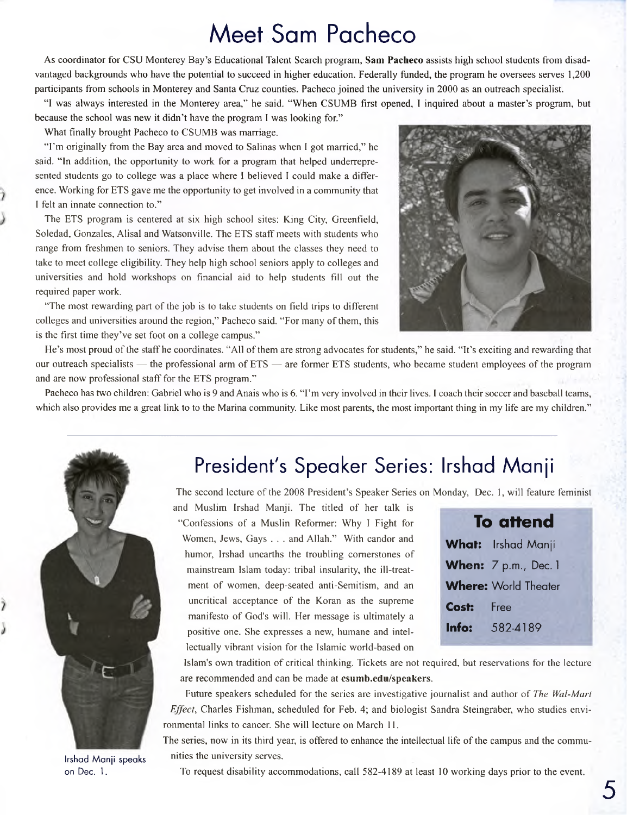### Meet Sam Pacheco

As coordinator for CSU Monterey Bay's Educational Talent Search program, **Sam Pacheco** assists high school students from disadvantaged backgrounds who have the potential to succeed in higher education. Federally funded, the program he oversees serves 1,200 participants from schools in Monterey and Santa Cruz counties. Pacheco joined the university in 2000 as an outreach specialist.

"I was always interested in the Monterey area," he said. "When CSUMB first opened, <sup>I</sup> inquired about a master's program, but because the school was new it didn't have the program <sup>I</sup> was looking for."

What finally brought Pacheco to CSUMB was marriage.

"I'm originally from the Bay area and moved to Salinas when <sup>I</sup> got married," he said. "In addition, the opportunity to work for a program that helped underrepresented students go to college was a place where <sup>I</sup> believed I could make a difference. Working for ETS gave me the opportunity to get involved in a community that I felt an innate connection to."

The ETS program is centered at six high school sites: King City, Greenfield, Soledad, Gonzales, Alisal and Watsonville. The ETS staff meets with students who range from freshmen to seniors. They advise them about the classes they need to take to meet college eligibility. They help high school seniors apply to colleges and universities and hold workshops on financial aid to help students fill out the required paper work.

"The most rewarding part of the job is to take students on field trips to different colleges and universities around the region," Pacheco said. "For many of them, this is the first time they've set foot on a college campus."



He's most proud of the staff he coordinates. "All of them are strong advocates for students," he said. "It's exciting and rewarding that our outreach specialists — the professional arm of ETS — are former ETS students, who became student employees of the program and are now professional staff for the ETS program."

Pacheco has two children: Gabriel who is 9 and Anais who is 6. "I'm very involved in their lives. I coach their soccer and baseball teams, which also provides me a great link to to the Marina community. Like most parents, the most important thing in my life are my children."



Irshad Manji speaks on Dec. 1.

### President's Speaker Series: Irshad Manji

The second lecture of the 2008 President's Speaker Series on Monday, Dec. 1, will feature feminist

and Muslim Irshad Manji. The titled of her talk is "Confessions of a Muslin Reformer: Why <sup>I</sup> Fight for Women, Jews, Gays . . . and Allah." With candor and humor, Irshad unearths the troubling cornerstones of mainstream Islam today: tribal insularity, the ill-treatment of women, deep-seated anti-Semitism, and an uncritical acceptance of the Koran as the supreme manifesto of God's will. Her message is ultimately a positive one. She expresses a new, humane and intellectually vibrant vision for the Islamic world-based on

| To attend                   |                           |
|-----------------------------|---------------------------|
|                             | <b>What:</b> Irshad Manji |
|                             | When: 7 p.m., Dec. 1      |
| <b>Where: World Theater</b> |                           |
| Cost:                       | <b>Free</b>               |
| Info:                       | 582-4189                  |

Islam's own tradition of critical thinking. Tickets are not required, but reservations for the lecture are recommended and can be made at **<csumb.edu/speakers>.**

Future speakers scheduled for the series are investigative journalist and author of *The Wal-Mart Effect,* Charles Fishman, scheduled for Feb. 4; and biologist Sandra Steingraber, who studies environmental links to cancer. She will lecture on March 11.

The series, now in its third year, is offered to enhance the intellectual life of the campus and the communities the university serves.

To request disability accommodations, call 582-4189 at least 10 working days prior to the event.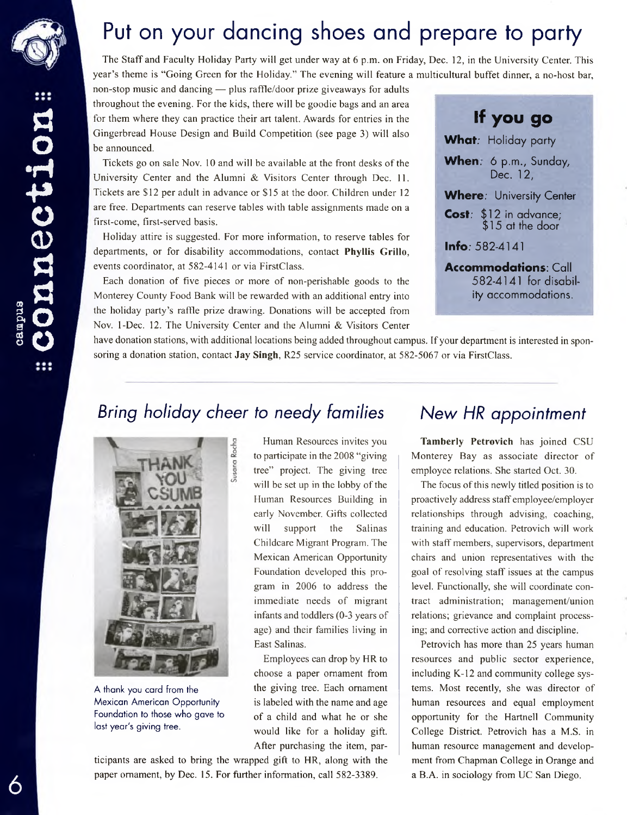

# Put on your dancing shoes and prepare to party

The Staff and Faculty Holiday Party will get under way at 6 p.m. on Friday, Dec. 12, in the University Center. This year's theme is "Going Green for the Holiday." The evening will feature a multicultural buffet dinner, a no-host bar,

non-stop music and dancing — plus raffle/door prize giveaways for adults throughout the evening. For the kids, there will be goodie bags and an area for them where they can practice their art talent. Awards for entries in the Gingerbread House Design and Build Competition (see page 3) will also be announced.

Tickets go on sale Nov. 10 and will be available at the front desks of the University Center and the Alumni & Visitors Center through Dec. 11. Tickets are \$12 per adult in advance or \$15 at the door. Children under 12 are free. Departments can reserve tables with table assignments made on a first-come, first-served basis.

Holiday attire is suggested. For more information, to reserve tables for departments, or for disability accommodations, contact **Phyllis Grillo,** events coordinator, at 582-4141 or via FirstClass.

Each donation of five pieces or more of non-perishable goods to the Monterey County Food Bank will be rewarded with an additional entry into the holiday party's raffle prize drawing. Donations will be accepted from Nov. 1-Dec. 12. The University Center and the Alumni & Visitors Center

**If you go What;** Holiday party **When.** 6 p.m., Sunday, Dec. 12. **Where;** University Center **Cost;** \$12 in advance; \$15 at the door **Info;** 582-4141

**Accommodations:** Call 582-4141 for disability accommodations.

have donation stations, with additional locations being added throughout campus. If your department is interested in sponsoring a donation station, contact **Jay Singh,** R25 service coordinator, at 582-5067 or via FirstClass.

### *Bring holiday cheer to needy families New HR appointment*



A thank you card from the Mexican American Opportunity Foundation to those who gave to last year's giving tree.

Human Resources invites you to participate in the 2008 "giving tree" project. The giving tree will be set up in the lobby of the Human Resources Building in early November. Gifts collected will support the Salinas Childcare Migrant Program. The Mexican American Opportunity Foundation developed this program in 2006 to address the immediate needs of migrant infants and toddlers (0-3 years of age) and their families living in East Salinas.

Employees can drop by HR to choose a paper ornament from the giving tree. Each ornament is labeled with the name and age of a child and what he or she would like for a holiday gift. After purchasing the item, par-

ticipants are asked to bring the wrapped gift to HR, along with the paper ornament, by Dec. 15. For further information, call 582-3389.

**Tamberly Petrovich** has joined CSU Monterey Bay as associate director of employee relations. She started Oct. 30.

The focus of this newly titled position is to proactively address staff employee/employer relationships through advising, coaching, training and education. Petrovich will work with staff members, supervisors, department chairs and union representatives with the goal of resolving staff issues at the campus level. Functionally, she will coordinate contract administration; management/union relations; grievance and complaint processing; and corrective action and discipline.

Petrovich has more than 25 years human resources and public sector experience, including K-12 and community college systems. Most recently, she was director of human resources and equal employment opportunity for the Hartnell Community College District. Petrovich has a M.S. in human resource management and development from Chapman College in Orange and a B.A. in sociology from UC San Diego.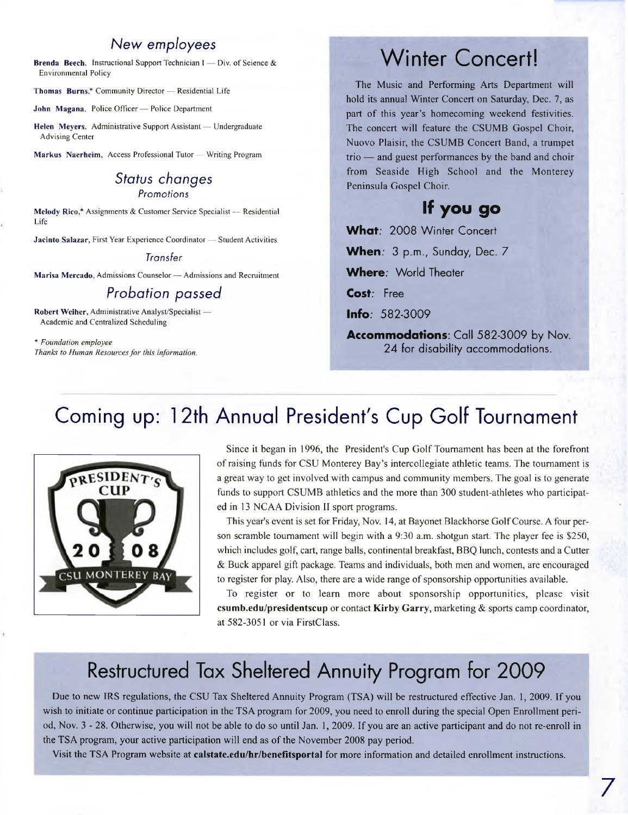#### *New employees*

Brenda Beech, Instructional Support Technician I — Div. of Science & Environmental Policy

Thomas Burns,\* Community Director — Residential Life

John Magana, Police Officer — Police Department

Helen Meyers, Administrative Support Assistant — Undergraduate Advising Center

Markus Naerheim, Access Professional Tutor — Writing Program

#### *Status changes Promotions*

Melody Rico,\* Assignments & Customer Service Specialist — Residential Life

Jacinto Salazar, First Year Experience Coordinator — Student Activities

#### *Transfer*

Marisa Mercado, Admissions Counselor — Admissions and Recruitment

#### *Probation passed*

Robert Weiher, Administrative Analyst/Specialist — Academic and Centralized Scheduling

*\* Foundation employee Thanks to Human Resourcesfor this information.*

### Winter Concert!

The Music and Performing Arts Department will hold its annual Winter Concert on Saturday, Dec. 7, as part of this year's homecoming weekend festivities. The concert will feature the CSUMB Gospel Choir, Nuovo Plaisir, the CSUMB Concert Band, a trumpet trio — and guest performances by the band and choir from Seaside High School and the Monterey Peninsula Gospel Choir.

### **If you go**

**What:** 2008 Winter Concert **When.** 3 p.m., Sunday, Dec. 7

**Where;** World Theater

**Cost;** Free

**Info;** 582-3009

**Accommodations:** Call 582-3009 by Nov. 24 for disability accommodations.

### Coming up: 12th Annual President's Cup Golf Tournament



Since it began in 1996, the President's Cup Golf Tournament has been at the forefront ofraising funds for CSU Monterey Bay's intercollegiate athletic teams. The tournament is a great way to get involved with campus and community members. The goal is to generate funds to support CSUMB athletics and the more than 300 student-athletes who participated in 13 NCAA Division II sport programs.

This year's event is set for Friday, Nov. 14, at Bayonet Blackhorse GolfCourse. A four person scramble tournament will begin with a 9:30 a.m. shotgun start. The player fee is \$250, which includes golf, cart, range balls, continental breakfast, BBQ lunch, contests and a Cutter & Buck apparel gift package. Teams and individuals, both men and women, are encouraged to register for play. Also, there are a wide range of sponsorship opportunities available.

To register or to learn more about sponsorship opportunities, please visit **<csumb.edu/presidentscup>** or contact **Kirby Garry,** marketing & sports camp coordinator, at 582-3051 or via FirstClass.

### Restructured Tax Sheltered Annuity Program for 2009

Due to new IRS regulations, the CSU Tax Sheltered Annuity Program (TSA) will be restructured effective Jan. 1, 2009. If you wish to initiate or continue participation in the TSA program for 2009, you need to enroll during the special Open Enrollment period, Nov. 3 - 28. Otherwise, you will not be able to do so until Jan. 1, 2009. If you are an active participant and do not re-enroll in the TSA program, your active participation will end as of the November 2008 pay period.

Visit the TSA Program website at **<calstate.edu/hr/benefltsportal>** for more information and detailed enrollment instructions.